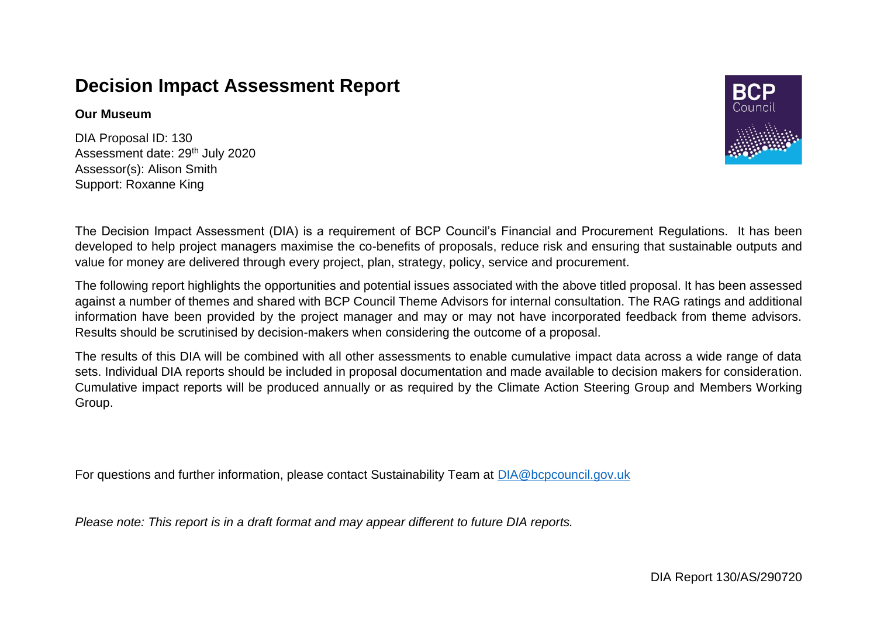## **Decision Impact Assessment Report**

## **Our Museum**

DIA Proposal ID: 130 Assessment date: 29th July 2020 Assessor(s): Alison Smith Support: Roxanne King



The Decision Impact Assessment (DIA) is a requirement of BCP Council's Financial and Procurement Regulations. It has been developed to help project managers maximise the co-benefits of proposals, reduce risk and ensuring that sustainable outputs and value for money are delivered through every project, plan, strategy, policy, service and procurement.

The following report highlights the opportunities and potential issues associated with the above titled proposal. It has been assessed against a number of themes and shared with BCP Council Theme Advisors for internal consultation. The RAG ratings and additional information have been provided by the project manager and may or may not have incorporated feedback from theme advisors. Results should be scrutinised by decision-makers when considering the outcome of a proposal.

The results of this DIA will be combined with all other assessments to enable cumulative impact data across a wide range of data sets. Individual DIA reports should be included in proposal documentation and made available to decision makers for consideration. Cumulative impact reports will be produced annually or as required by the Climate Action Steering Group and Members Working Group.

For questions and further information, please contact Sustainability Team at [DIA@bcpcouncil.gov.uk](mailto:DIA@bcpcouncil.gov.uk)

*Please note: This report is in a draft format and may appear different to future DIA reports.*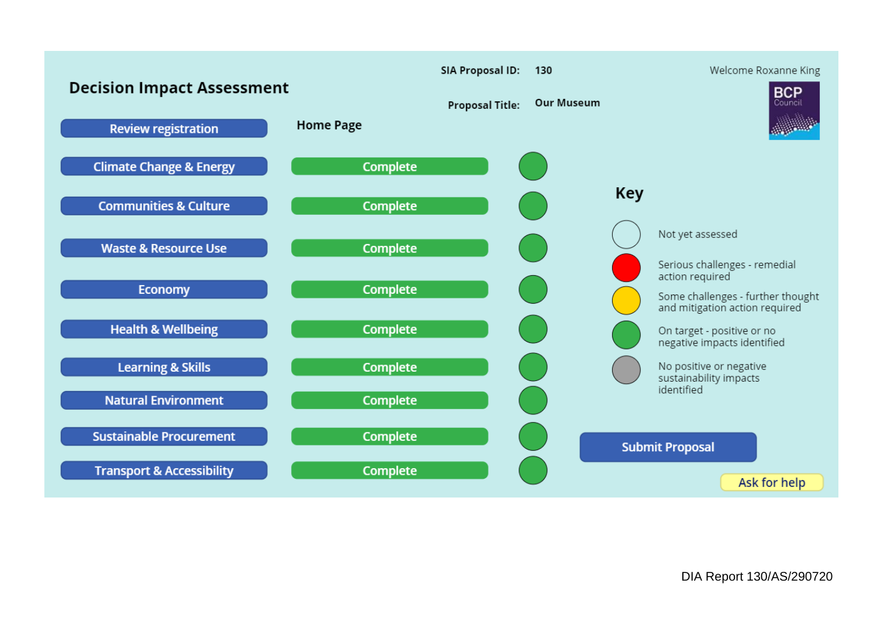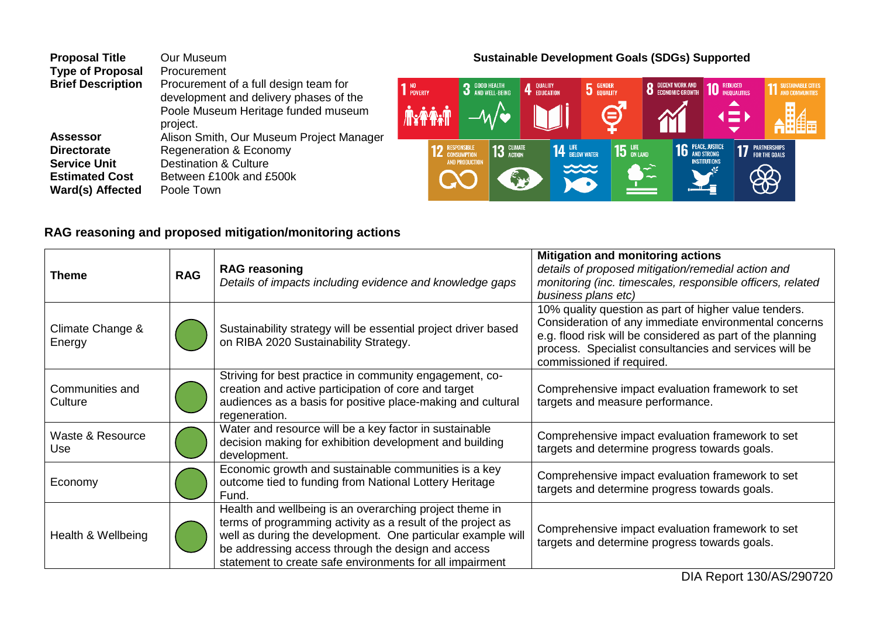| <b>Proposal Title</b>    | Our Museum                               |
|--------------------------|------------------------------------------|
| <b>Type of Proposal</b>  | Procurement                              |
| <b>Brief Description</b> | Procurement of a full design team for    |
|                          | development and delivery phases of the   |
|                          | Poole Museum Heritage funded museum      |
|                          | project.                                 |
| <b>Assessor</b>          | Alison Smith, Our Museum Project Manager |
| <b>Directorate</b>       | Regeneration & Economy                   |
| <b>Service Unit</b>      | <b>Destination &amp; Culture</b>         |
| <b>Estimated Cost</b>    | Between £100k and £500k                  |
| <b>Ward(s) Affected</b>  | Poole Town                               |

## **Sustainable Development Goals (SDGs) Supported**



## **RAG reasoning and proposed mitigation/monitoring actions**

| Theme                      | <b>RAG</b> | <b>RAG reasoning</b><br>Details of impacts including evidence and knowledge gaps                                                                                                                                                                                                                        | <b>Mitigation and monitoring actions</b><br>details of proposed mitigation/remedial action and<br>monitoring (inc. timescales, responsible officers, related<br>business plans etc)                                                                                 |
|----------------------------|------------|---------------------------------------------------------------------------------------------------------------------------------------------------------------------------------------------------------------------------------------------------------------------------------------------------------|---------------------------------------------------------------------------------------------------------------------------------------------------------------------------------------------------------------------------------------------------------------------|
| Climate Change &<br>Energy |            | Sustainability strategy will be essential project driver based<br>on RIBA 2020 Sustainability Strategy.                                                                                                                                                                                                 | 10% quality question as part of higher value tenders.<br>Consideration of any immediate environmental concerns<br>e.g. flood risk will be considered as part of the planning<br>process. Specialist consultancies and services will be<br>commissioned if required. |
| Communities and<br>Culture |            | Striving for best practice in community engagement, co-<br>creation and active participation of core and target<br>audiences as a basis for positive place-making and cultural<br>regeneration.                                                                                                         | Comprehensive impact evaluation framework to set<br>targets and measure performance.                                                                                                                                                                                |
| Waste & Resource<br>Use    |            | Water and resource will be a key factor in sustainable<br>decision making for exhibition development and building<br>development.                                                                                                                                                                       | Comprehensive impact evaluation framework to set<br>targets and determine progress towards goals.                                                                                                                                                                   |
| Economy                    |            | Economic growth and sustainable communities is a key<br>outcome tied to funding from National Lottery Heritage<br>Fund.                                                                                                                                                                                 | Comprehensive impact evaluation framework to set<br>targets and determine progress towards goals.                                                                                                                                                                   |
| Health & Wellbeing         |            | Health and wellbeing is an overarching project theme in<br>terms of programming activity as a result of the project as<br>well as during the development. One particular example will<br>be addressing access through the design and access<br>statement to create safe environments for all impairment | Comprehensive impact evaluation framework to set<br>targets and determine progress towards goals.                                                                                                                                                                   |

DIA Report 130/AS/290720